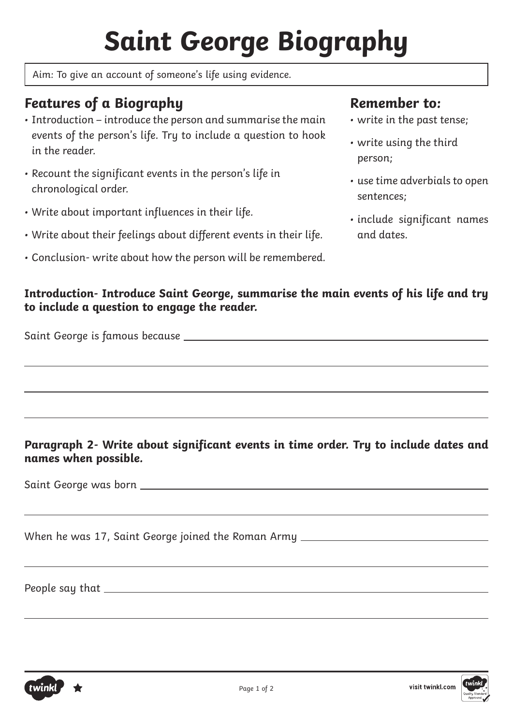# **Saint George Biography**

Aim: To give an account of someone's life using evidence.

## **Features of a Biography**

- Introduction introduce the person and summarise the main events of the person's life. Try to include a question to hook in the reader.
- Recount the significant events in the person's life in chronological order.
- Write about important influences in their life.
- Write about their feelings about different events in their life.
- Conclusion- write about how the person will be remembered.

### **Remember to:**

- write in the past tense;
- write using the third person;
- use time adverbials to open sentences;
- include significant names and dates.

#### **Introduction- Introduce Saint George, summarise the main events of his life and try to include a question to engage the reader.**

Saint George is famous because

#### **Paragraph 2- Write about significant events in time order. Try to include dates and names when possible.**

Saint George was born

When he was 17, Saint George joined the Roman Army

People say that



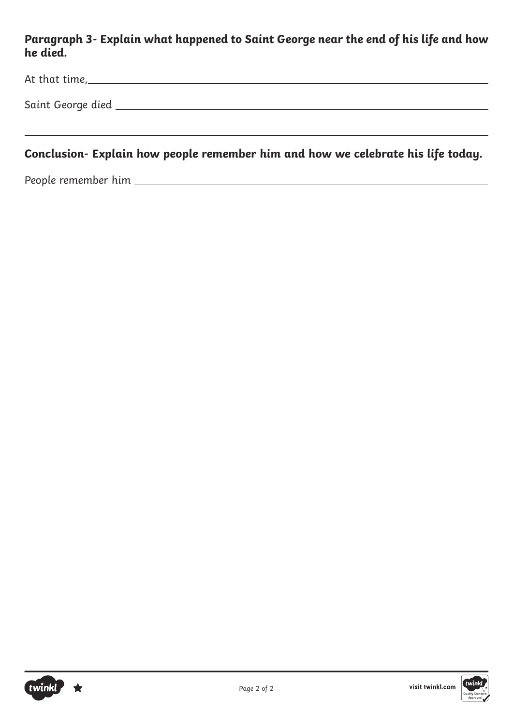### **Paragraph 3- Explain what happened to Saint George near the end of his life and how he died.**

| At that time,     |  |  |  |
|-------------------|--|--|--|
| Saint George died |  |  |  |

### **Conclusion- Explain how people remember him and how we celebrate his life today.**

People remember him



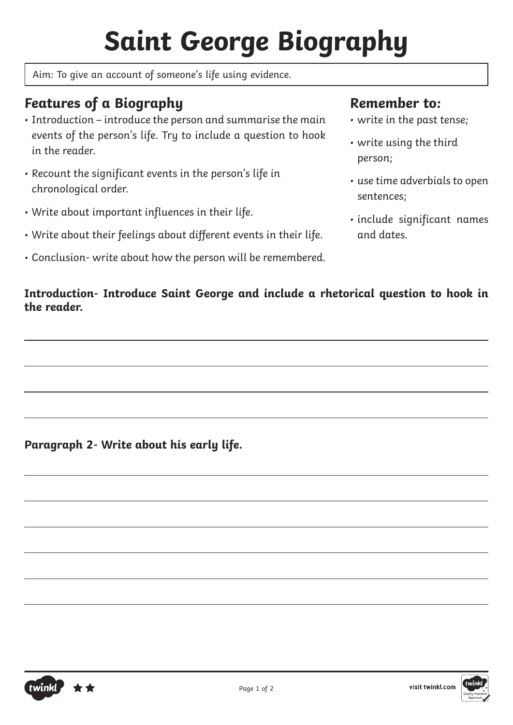# **Saint George Biography**

Aim: To give an account of someone's life using evidence.

# **Features of a Biography**

- Introduction introduce the person and summarise the main events of the person's life. Try to include a question to hook in the reader.
- Recount the significant events in the person's life in chronological order.
- Write about important influences in their life.
- Write about their feelings about different events in their life.
- Conclusion- write about how the person will be remembered.

## **Remember to:**

- write in the past tense;
- write using the third person;
- use time adverbials to open sentences;
- include significant names and dates.

### **Introduction- Introduce Saint George and include a rhetorical question to hook in the reader.**

**Paragraph 2- Write about his early life.**

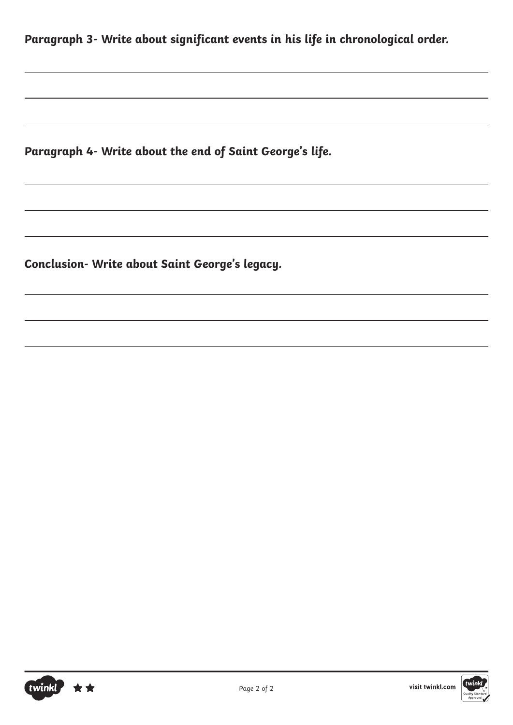**Paragraph 3- Write about significant events in his life in chronological order.**

**Paragraph 4- Write about the end of Saint George's life.**

**Conclusion- Write about Saint George's legacy.** 





Page 2 of 2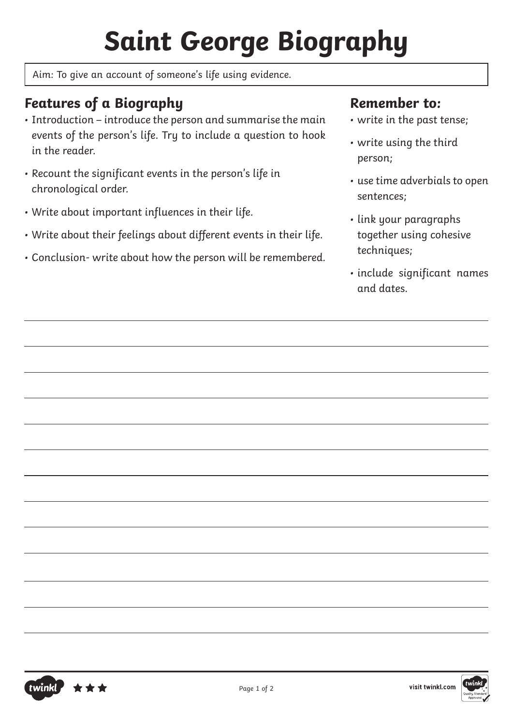# **Saint George Biography**

Aim: To give an account of someone's life using evidence.

# **Features of a Biography**

- Introduction introduce the person and summarise the main events of the person's life. Try to include a question to hook in the reader.
- Recount the significant events in the person's life in chronological order.
- Write about important influences in their life.
- Write about their feelings about different events in their life.
- Conclusion- write about how the person will be remembered.

## **Remember to:**

- write in the past tense;
- write using the third person;
- use time adverbials to open sentences;
- link your paragraphs together using cohesive techniques;
- include significant names and dates.